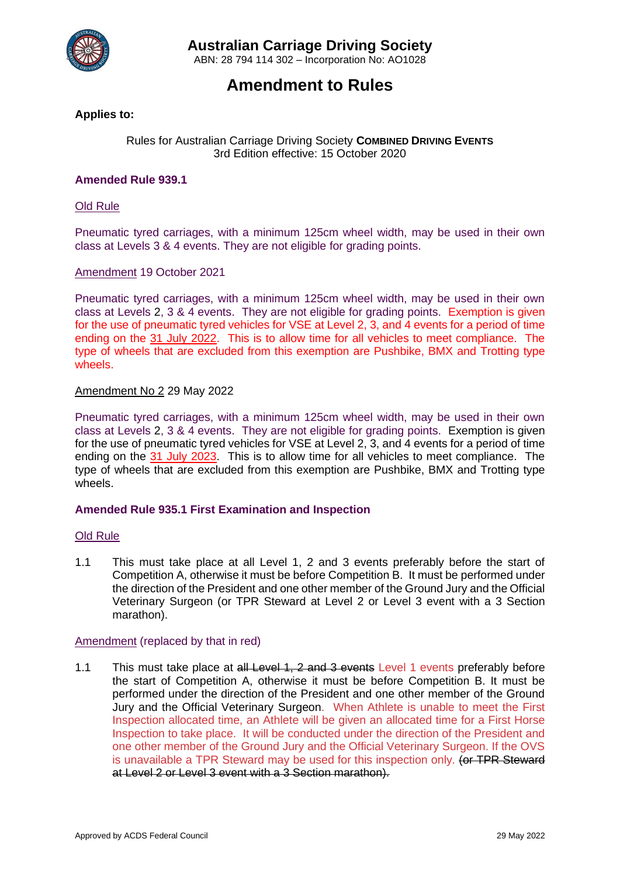

ABN: 28 794 114 302 – Incorporation No: AO1028

# **Amendment to Rules**

# **Applies to:**

# Rules for Australian Carriage Driving Society **COMBINED DRIVING EVENTS** 3rd Edition effective: 15 October 2020

# **Amended Rule 939.1**

### Old Rule

Pneumatic tyred carriages, with a minimum 125cm wheel width, may be used in their own class at Levels 3 & 4 events. They are not eligible for grading points.

# Amendment 19 October 2021

Pneumatic tyred carriages, with a minimum 125cm wheel width, may be used in their own class at Levels 2, 3 & 4 events. They are not eligible for grading points. Exemption is given for the use of pneumatic tyred vehicles for VSE at Level 2, 3, and 4 events for a period of time ending on the 31 July 2022. This is to allow time for all vehicles to meet compliance. The type of wheels that are excluded from this exemption are Pushbike, BMX and Trotting type wheels.

# Amendment No 2 29 May 2022

Pneumatic tyred carriages, with a minimum 125cm wheel width, may be used in their own class at Levels 2, 3 & 4 events. They are not eligible for grading points. Exemption is given for the use of pneumatic tyred vehicles for VSE at Level 2, 3, and 4 events for a period of time ending on the 31 July 2023. This is to allow time for all vehicles to meet compliance. The type of wheels that are excluded from this exemption are Pushbike, BMX and Trotting type wheels.

#### **Amended Rule 935.1 First Examination and Inspection**

#### Old Rule

1.1 This must take place at all Level 1, 2 and 3 events preferably before the start of Competition A, otherwise it must be before Competition B. It must be performed under the direction of the President and one other member of the Ground Jury and the Official Veterinary Surgeon (or TPR Steward at Level 2 or Level 3 event with a 3 Section marathon).

#### Amendment (replaced by that in red)

1.1 This must take place at all Level 1, 2 and 3 events Level 1 events preferably before the start of Competition A, otherwise it must be before Competition B. It must be performed under the direction of the President and one other member of the Ground Jury and the Official Veterinary Surgeon. When Athlete is unable to meet the First Inspection allocated time, an Athlete will be given an allocated time for a First Horse Inspection to take place. It will be conducted under the direction of the President and one other member of the Ground Jury and the Official Veterinary Surgeon. If the OVS is unavailable a TPR Steward may be used for this inspection only. (or TPR Steward at Level 2 or Level 3 event with a 3 Section marathon).